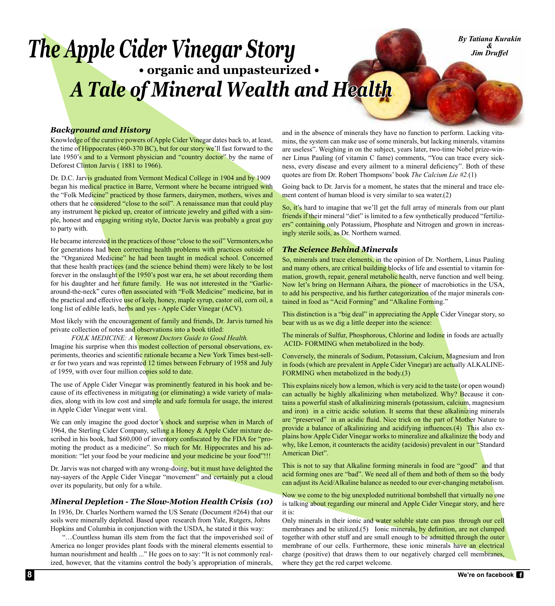# *The Apple Cider Vinegar Story*  **• organic and unpasteurized •**  *A Tale of Mineral Wealth and Health*

*By Tatiana Kurakin & Jim Druffel*

# *Background and History*

Knowledge of the curative powers of Apple Cider Vinegar dates back to, at least, the time of Hippocrates (460-370 BC), but for our story we'll fast forward to the late 1950's and to a Vermont physician and "country doctor" by the name of Deforest Clinton Jarvis ( 1881 to 1966).

Dr. D.C. Jarvis graduated from Vermont Medical College in 1904 and by 1909 began his medical practice in Barre, Vermont where he became intrigued with the "Folk Medicine" practiced by those farmers, dairymen, mothers, wives and others that he considered "close to the soil". A renaissance man that could play any instrument he picked up, creator of intricate jewelry and gifted with a simple, honest and engaging writing style, Doctor Jarvis was probably a great guy to party with.

He became interested in the practices of those "close to the soil" Vermonters, who for generations had been correcting health problems with practices outside of the "Organized Medicine" he had been taught in medical school. Concerned that these health practices (and the science behind them) were likely to be lost forever in the onslaught of the 1950's post war era, he set about recording them for his daughter and her future family. He was not interested in the "Garlicaround-the-neck" cures often associated with "Folk Medicine" medicine, but in the practical and effective use of kelp, honey, maple syrup, castor oil, corn oil, a long list of edible leafs, herbs and yes - Apple Cider Vinegar (ACV).

Most likely with the encouragement of family and friends, Dr. Jarvis turned his private collection of notes and observations into a book titled:

*FOLK MEDICINE: A Vermont Doctors Guide to Good Health.*

Imagine his surprise when this modest collection of personal observations, experiments, theories and scientific rationale became a New York Times best-seller for two years and was reprinted 12 times between February of 1958 and July of 1959, with over four million copies sold to date.

The use of Apple Cider Vinegar was prominently featured in his book and because of its effectiveness in mitigating (or eliminating) a wide variety of maladies, along with its low cost and simple and safe formula for usage, the interest in Apple Cider Vinegar went viral.

We can only imagine the good doctor's shock and surprise when in March of 1964, the Sterling Cider Company, selling a Honey & Apple Cider mixture described in his book, had \$60,000 of inventory confiscated by the FDA for "promoting the product as a medicine". So much for Mr. Hippocrates and his admonition: "let your food be your medicine and your medicine be your food"!!!

Dr. Jarvis was not charged with any wrong-doing, but it must have delighted the nay-sayers of the Apple Cider Vinegar "movement" and certainly put a cloud over its popularity, but only for a while.

### *Mineral Depletion - The Slow-Motion Health Crisis (10)*

In 1936, Dr. Charles Northern warned the US Senate (Document #264) that our soils were minerally depleted. Based upon research from Yale, Rutgers, Johns Hopkins and Columbia in conjunction with the USDA, he stated it this way:

 "…Countless human ills stem from the fact that the impoverished soil of America no longer provides plant foods with the mineral elements essential to human nourishment and health ..." He goes on to say: "It is not commonly realized, however, that the vitamins control the body's appropriation of minerals,

and in the absence of minerals they have no function to perform. Lacking vitamins, the system can make use of some minerals, but lacking minerals, vitamins are useless". Weighing in on the subject, years later, two-time Nobel prize-winner Linus Pauling (of vitamin C fame) comments, "You can trace every sickness, every disease and every ailment to a mineral deficiency". Both of these quotes are from Dr. Robert Thompsons' book *The Calcium Lie #2.*(1)

Going back to Dr. Jarvis for a moment, he states that the mineral and trace element content of human blood is very similar to sea water.(2)

So, it's hard to imagine that we'll get the full array of minerals from our plant friends if their mineral "diet" is limited to a few synthetically produced "fertilizers" containing only Potassium, Phosphate and Nitrogen and grown in increasingly sterile soils, as Dr. Northern warned.

### *The Science Behind Minerals*

So, minerals and trace elements, in the opinion of Dr. Northern, Linus Pauling and many others, are critical building blocks of life and essential to vitamin formation, growth, repair, general metabolic health, nerve function and well being. Now let's bring on Hermann Aihara, the pioneer of macrobiotics in the USA, to add his perspective, and his further categorization of the major minerals contained in food as "Acid Forming" and "Alkaline Forming."

This distinction is a "big deal" in appreciating the Apple Cider Vinegar story, so bear with us as we dig a little deeper into the science:

The minerals of Sulfur, Phosphorous, Chlorine and Iodine in foods are actually ACID- FORMING when metabolized in the body.

Conversely, the minerals of Sodium, Potassium, Calcium, Magnesium and Iron in foods (which are prevalent in Apple Cider Vinegar) are actually ALKALINE-FORMING when metabolized in the body.(3)

This explains nicely how a lemon, which is very acid to the taste (or open wound) can actually be highly alkalinizing when metabolized. Why? Because it contains a powerful stash of alkalinizing minerals (potassium, calcium, magnesium and iron) in a citric acidic solution. It seems that these alkalinizing minerals are "preserved" in an acidic fluid. Nice trick on the part of Mother Nature to provide a balance of alkalinizing and acidifying influences.(4) This also explains how Apple Cider Vinegar works to mineralize and alkalinize the body and why, like Lemon, it counteracts the acidity (acidosis) prevalent in our "Standard American Diet".

This is not to say that Alkaline forming minerals in food are "good" and that acid forming ones are "bad". We need all of them and both of them so the body can adjust its Acid/Alkaline balance as needed to our ever-changing metabolism.

Now we come to the big unexploded nutritional bombshell that virtually no one is talking about regarding our mineral and Apple Cider Vinegar story, and here it is:

Only minerals in their ionic and water soluble state can pass through our cell membranes and be utilized.(5) Ionic minerals, by definition, are not clumped together with other stuff and are small enough to be admitted through the outer membrane of our cells. Furthermore, these ionic minerals have an electrical charge (positive) that draws them to our negatively charged cell membranes, where they get the red carpet welcome.